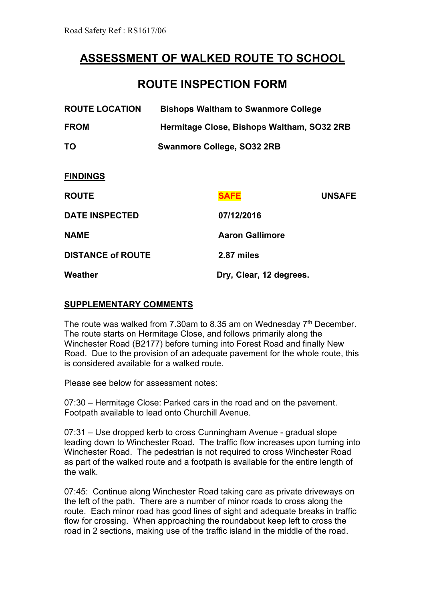## **ASSESSMENT OF WALKED ROUTE TO SCHOOL**

## **ROUTE INSPECTION FORM**

| <b>ROUTE LOCATION</b>    | <b>Bishops Waltham to Swanmore College</b> |                         |               |
|--------------------------|--------------------------------------------|-------------------------|---------------|
| <b>FROM</b>              | Hermitage Close, Bishops Waltham, SO32 2RB |                         |               |
| <b>TO</b>                | <b>Swanmore College, SO32 2RB</b>          |                         |               |
| <b>FINDINGS</b>          |                                            |                         |               |
| <b>ROUTE</b>             |                                            | <b>SAFE</b>             | <b>UNSAFE</b> |
| <b>DATE INSPECTED</b>    |                                            | 07/12/2016              |               |
| <b>NAME</b>              |                                            | <b>Aaron Gallimore</b>  |               |
| <b>DISTANCE of ROUTE</b> |                                            | 2.87 miles              |               |
| Weather                  |                                            | Dry, Clear, 12 degrees. |               |
|                          |                                            |                         |               |

## **SUPPLEMENTARY COMMENTS**

The route was walked from 7.30am to 8.35 am on Wednesday 7<sup>th</sup> December. The route starts on Hermitage Close, and follows primarily along the Winchester Road (B2177) before turning into Forest Road and finally New Road. Due to the provision of an adequate pavement for the whole route, this is considered available for a walked route.

Please see below for assessment notes:

07:30 – Hermitage Close: Parked cars in the road and on the pavement. Footpath available to lead onto Churchill Avenue.

07:31 – Use dropped kerb to cross Cunningham Avenue - gradual slope leading down to Winchester Road. The traffic flow increases upon turning into Winchester Road. The pedestrian is not required to cross Winchester Road as part of the walked route and a footpath is available for the entire length of the walk.

07:45: Continue along Winchester Road taking care as private driveways on the left of the path. There are a number of minor roads to cross along the route. Each minor road has good lines of sight and adequate breaks in traffic flow for crossing. When approaching the roundabout keep left to cross the road in 2 sections, making use of the traffic island in the middle of the road.